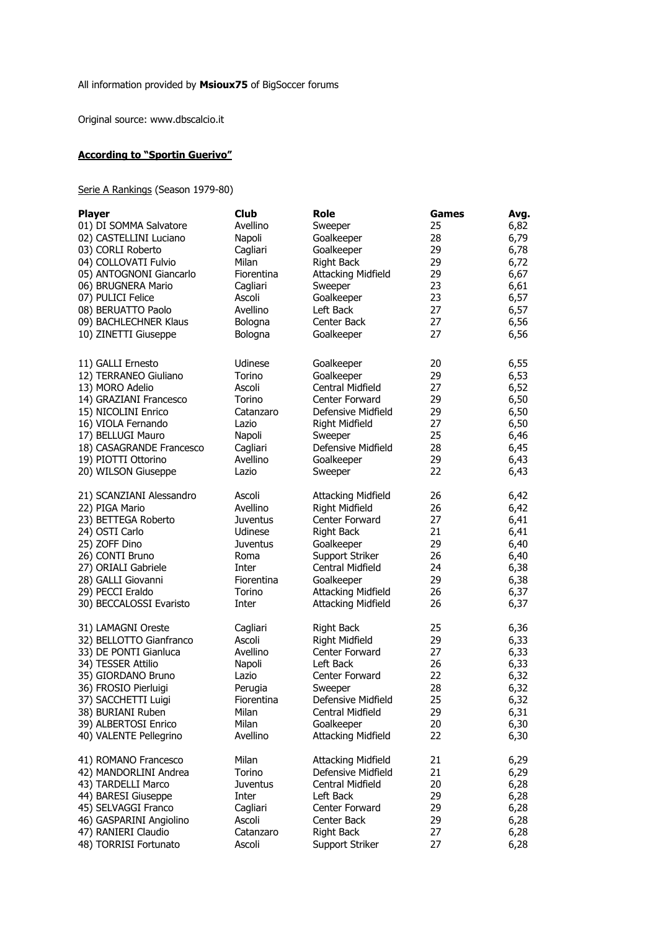Original source: www.dbscalcio.it

## **According to "Sportin Guerivo"**

Serie A Rankings (Season 1979-80)

| <b>Player</b>            | <b>Club</b>     | Role                      | Games | Avg. |
|--------------------------|-----------------|---------------------------|-------|------|
| 01) DI SOMMA Salvatore   | Avellino        | Sweeper                   | 25    | 6,82 |
| 02) CASTELLINI Luciano   | Napoli          | Goalkeeper                | 28    | 6,79 |
| 03) CORLI Roberto        | Cagliari        | Goalkeeper                | 29    | 6,78 |
| 04) COLLOVATI Fulvio     | Milan           | <b>Right Back</b>         | 29    | 6,72 |
| 05) ANTOGNONI Giancarlo  | Fiorentina      | <b>Attacking Midfield</b> | 29    | 6,67 |
|                          |                 |                           |       |      |
| 06) BRUGNERA Mario       | Cagliari        | Sweeper                   | 23    | 6,61 |
| 07) PULICI Felice        | Ascoli          | Goalkeeper                | 23    | 6,57 |
| 08) BERUATTO Paolo       | Avellino        | Left Back                 | 27    | 6,57 |
| 09) BACHLECHNER Klaus    | Bologna         | Center Back               | 27    | 6,56 |
| 10) ZINETTI Giuseppe     | Bologna         | Goalkeeper                | 27    | 6,56 |
| 11) GALLI Ernesto        | Udinese         | Goalkeeper                | 20    | 6,55 |
| 12) TERRANEO Giuliano    | Torino          | Goalkeeper                | 29    | 6,53 |
| 13) MORO Adelio          | Ascoli          | Central Midfield          | 27    | 6,52 |
| 14) GRAZIANI Francesco   | Torino          | Center Forward            | 29    | 6,50 |
| 15) NICOLINI Enrico      | Catanzaro       | Defensive Midfield        | 29    | 6,50 |
| 16) VIOLA Fernando       | Lazio           | Right Midfield            | 27    | 6,50 |
| 17) BELLUGI Mauro        | Napoli          |                           | 25    |      |
|                          |                 | Sweeper                   |       | 6,46 |
| 18) CASAGRANDE Francesco | Cagliari        | Defensive Midfield        | 28    | 6,45 |
| 19) PIOTTI Ottorino      | Avellino        | Goalkeeper                | 29    | 6,43 |
| 20) WILSON Giuseppe      | Lazio           | Sweeper                   | 22    | 6,43 |
| 21) SCANZIANI Alessandro | Ascoli          | <b>Attacking Midfield</b> | 26    | 6,42 |
| 22) PIGA Mario           | Avellino        | <b>Right Midfield</b>     | 26    | 6,42 |
| 23) BETTEGA Roberto      | Juventus        | Center Forward            | 27    | 6,41 |
| 24) OSTI Carlo           | Udinese         | Right Back                | 21    | 6,41 |
| 25) ZOFF Dino            | <b>Juventus</b> | Goalkeeper                | 29    | 6,40 |
| 26) CONTI Bruno          | Roma            | Support Striker           | 26    | 6,40 |
| 27) ORIALI Gabriele      | Inter           | Central Midfield          | 24    | 6,38 |
| 28) GALLI Giovanni       | Fiorentina      | Goalkeeper                | 29    | 6,38 |
| 29) PECCI Eraldo         | Torino          | <b>Attacking Midfield</b> | 26    | 6,37 |
| 30) BECCALOSSI Evaristo  | Inter           | <b>Attacking Midfield</b> | 26    | 6,37 |
| 31) LAMAGNI Oreste       | Cagliari        | <b>Right Back</b>         | 25    | 6,36 |
| 32) BELLOTTO Gianfranco  | Ascoli          | Right Midfield            | 29    | 6,33 |
| 33) DE PONTI Gianluca    | Avellino        | Center Forward            | 27    | 6,33 |
| 34) TESSER Attilio       | Napoli          | Left Back                 | 26    | 6,33 |
| 35) GIORDANO Bruno       | Lazio           | Center Forward            | 22    | 6,32 |
| 36) FROSIO Pierluigi     | Perugia         | Sweeper                   | 28    | 6,32 |
| 37) SACCHETTI Luigi      | Fiorentina      | Defensive Midfield        | 25    | 6,32 |
|                          |                 |                           |       |      |
| 38) BURIANI Ruben        | Milan           | Central Midfield          | 29    | 6,31 |
| 39) ALBERTOSI Enrico     | Milan           | Goalkeeper                | 20    | 6,30 |
| 40) VALENTE Pellegrino   | Avellino        | <b>Attacking Midfield</b> | 22    | 6,30 |
| 41) ROMANO Francesco     | Milan           | <b>Attacking Midfield</b> | 21    | 6,29 |
| 42) MANDORLINI Andrea    | Torino          | Defensive Midfield        | 21    | 6,29 |
| 43) TARDELLI Marco       | <b>Juventus</b> | <b>Central Midfield</b>   | 20    | 6,28 |
| 44) BARESI Giuseppe      | Inter           | Left Back                 | 29    | 6,28 |
| 45) SELVAGGI Franco      | Cagliari        | Center Forward            | 29    | 6,28 |
| 46) GASPARINI Angiolino  | Ascoli          | Center Back               | 29    | 6,28 |
| 47) RANIERI Claudio      | Catanzaro       | <b>Right Back</b>         | 27    | 6,28 |
| 48) TORRISI Fortunato    | Ascoli          | Support Striker           | 27    | 6,28 |
|                          |                 |                           |       |      |